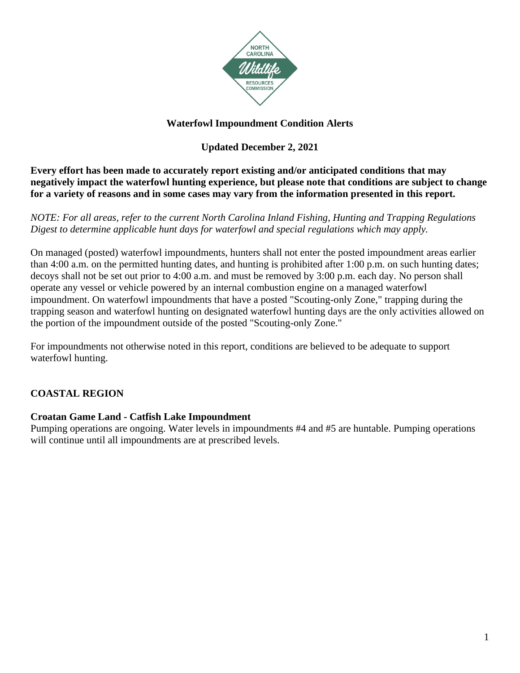

## **Waterfowl Impoundment Condition Alerts**

## **Updated December 2, 2021**

**Every effort has been made to accurately report existing and/or anticipated conditions that may negatively impact the waterfowl hunting experience, but please note that conditions are subject to change for a variety of reasons and in some cases may vary from the information presented in this report.** 

*NOTE: For all areas, refer to the current North Carolina Inland Fishing, Hunting and Trapping Regulations Digest to determine applicable hunt days for waterfowl and special regulations which may apply.*

On managed (posted) waterfowl impoundments, hunters shall not enter the posted impoundment areas earlier than 4:00 a.m. on the permitted hunting dates, and hunting is prohibited after 1:00 p.m. on such hunting dates; decoys shall not be set out prior to 4:00 a.m. and must be removed by 3:00 p.m. each day. No person shall operate any vessel or vehicle powered by an internal combustion engine on a managed waterfowl impoundment. On waterfowl impoundments that have a posted "Scouting-only Zone," trapping during the trapping season and waterfowl hunting on designated waterfowl hunting days are the only activities allowed on the portion of the impoundment outside of the posted "Scouting-only Zone."

For impoundments not otherwise noted in this report, conditions are believed to be adequate to support waterfowl hunting.

# **COASTAL REGION**

## **Croatan Game Land - Catfish Lake Impoundment**

Pumping operations are ongoing. Water levels in impoundments #4 and #5 are huntable. Pumping operations will continue until all impoundments are at prescribed levels.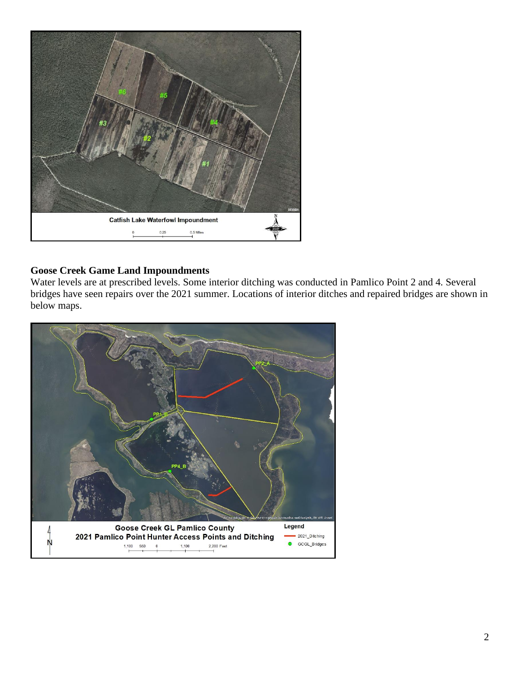

### **Goose Creek Game Land Impoundments**

Water levels are at prescribed levels. Some interior ditching was conducted in Pamlico Point 2 and 4. Several bridges have seen repairs over the 2021 summer. Locations of interior ditches and repaired bridges are shown in below maps.

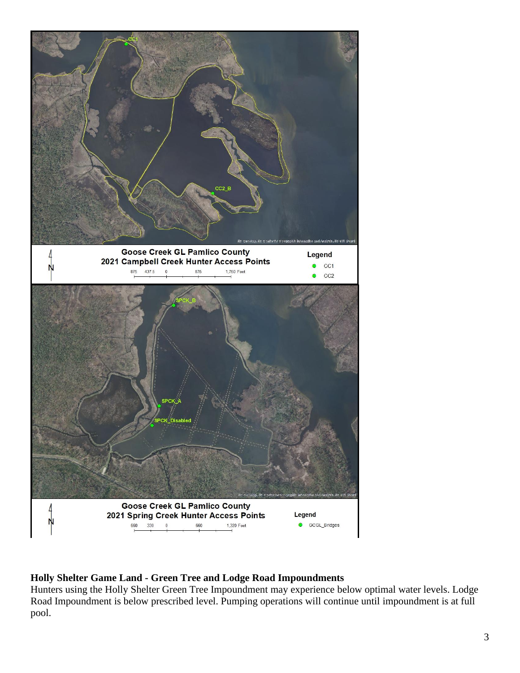

## **Holly Shelter Game Land - Green Tree and Lodge Road Impoundments**

Hunters using the Holly Shelter Green Tree Impoundment may experience below optimal water levels. Lodge Road Impoundment is below prescribed level. Pumping operations will continue until impoundment is at full pool.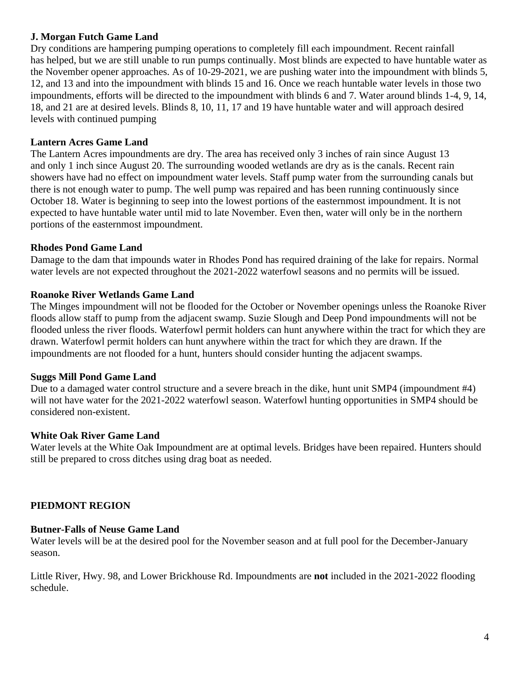#### **J. Morgan Futch Game Land**

Dry conditions are hampering pumping operations to completely fill each impoundment. Recent rainfall has helped, but we are still unable to run pumps continually. Most blinds are expected to have huntable water as the November opener approaches. As of 10-29-2021, we are pushing water into the impoundment with blinds 5, 12, and 13 and into the impoundment with blinds 15 and 16. Once we reach huntable water levels in those two impoundments, efforts will be directed to the impoundment with blinds 6 and 7. Water around blinds 1-4, 9, 14, 18, and 21 are at desired levels. Blinds 8, 10, 11, 17 and 19 have huntable water and will approach desired levels with continued pumping

### **Lantern Acres Game Land**

The Lantern Acres impoundments are dry. The area has received only 3 inches of rain since August 13 and only 1 inch since August 20. The surrounding wooded wetlands are dry as is the canals. Recent rain showers have had no effect on impoundment water levels. Staff pump water from the surrounding canals but there is not enough water to pump. The well pump was repaired and has been running continuously since October 18. Water is beginning to seep into the lowest portions of the easternmost impoundment. It is not expected to have huntable water until mid to late November. Even then, water will only be in the northern portions of the easternmost impoundment.

#### **Rhodes Pond Game Land**

Damage to the dam that impounds water in Rhodes Pond has required draining of the lake for repairs. Normal water levels are not expected throughout the 2021-2022 waterfowl seasons and no permits will be issued.

#### **Roanoke River Wetlands Game Land**

The Minges impoundment will not be flooded for the October or November openings unless the Roanoke River floods allow staff to pump from the adjacent swamp. Suzie Slough and Deep Pond impoundments will not be flooded unless the river floods. Waterfowl permit holders can hunt anywhere within the tract for which they are drawn. Waterfowl permit holders can hunt anywhere within the tract for which they are drawn. If the impoundments are not flooded for a hunt, hunters should consider hunting the adjacent swamps.

#### **Suggs Mill Pond Game Land**

Due to a damaged water control structure and a severe breach in the dike, hunt unit SMP4 (impoundment #4) will not have water for the 2021-2022 waterfowl season. Waterfowl hunting opportunities in SMP4 should be considered non-existent.

#### **White Oak River Game Land**

Water levels at the White Oak Impoundment are at optimal levels. Bridges have been repaired. Hunters should still be prepared to cross ditches using drag boat as needed.

#### **PIEDMONT REGION**

# **Butner-Falls of Neuse Game Land**

Water levels will be at the desired pool for the November season and at full pool for the December-January season.

Little River, Hwy. 98, and Lower Brickhouse Rd. Impoundments are **not** included in the 2021-2022 flooding schedule.